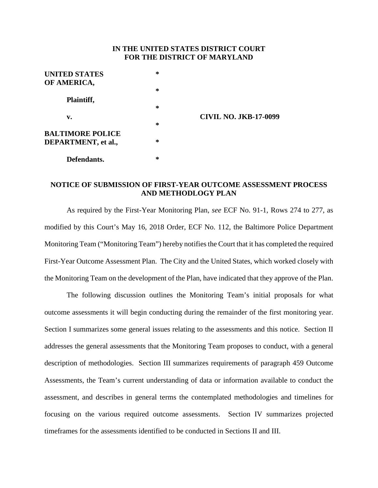## **IN THE UNITED STATES DISTRICT COURT FOR THE DISTRICT OF MARYLAND**

| <b>UNITED STATES</b>    | ∗      |                              |
|-------------------------|--------|------------------------------|
| OF AMERICA,             | $\ast$ |                              |
| Plaintiff,              | ∗      |                              |
| v.                      |        | <b>CIVIL NO. JKB-17-0099</b> |
| <b>BALTIMORE POLICE</b> | ∗      |                              |
| DEPARTMENT, et al.,     | ∗      |                              |
| Defendants.             | ∗      |                              |

# **NOTICE OF SUBMISSION OF FIRST-YEAR OUTCOME ASSESSMENT PROCESS AND METHODLOGY PLAN**

As required by the First-Year Monitoring Plan, *see* ECF No. 91-1, Rows 274 to 277, as modified by this Court's May 16, 2018 Order, ECF No. 112, the Baltimore Police Department Monitoring Team ("Monitoring Team") hereby notifies the Court that it has completed the required First-Year Outcome Assessment Plan. The City and the United States, which worked closely with the Monitoring Team on the development of the Plan, have indicated that they approve of the Plan.

The following discussion outlines the Monitoring Team's initial proposals for what outcome assessments it will begin conducting during the remainder of the first monitoring year. Section I summarizes some general issues relating to the assessments and this notice. Section II addresses the general assessments that the Monitoring Team proposes to conduct, with a general description of methodologies. Section III summarizes requirements of paragraph 459 Outcome Assessments, the Team's current understanding of data or information available to conduct the assessment, and describes in general terms the contemplated methodologies and timelines for focusing on the various required outcome assessments. Section IV summarizes projected timeframes for the assessments identified to be conducted in Sections II and III.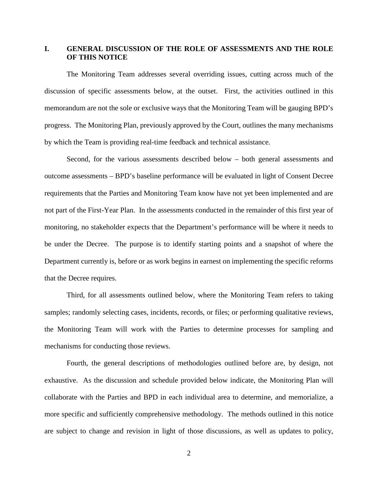# **I. GENERAL DISCUSSION OF THE ROLE OF ASSESSMENTS AND THE ROLE OF THIS NOTICE**

The Monitoring Team addresses several overriding issues, cutting across much of the discussion of specific assessments below, at the outset. First, the activities outlined in this memorandum are not the sole or exclusive ways that the Monitoring Team will be gauging BPD's progress. The Monitoring Plan, previously approved by the Court, outlines the many mechanisms by which the Team is providing real-time feedback and technical assistance.

Second, for the various assessments described below – both general assessments and outcome assessments – BPD's baseline performance will be evaluated in light of Consent Decree requirements that the Parties and Monitoring Team know have not yet been implemented and are not part of the First-Year Plan. In the assessments conducted in the remainder of this first year of monitoring, no stakeholder expects that the Department's performance will be where it needs to be under the Decree. The purpose is to identify starting points and a snapshot of where the Department currently is, before or as work begins in earnest on implementing the specific reforms that the Decree requires.

Third, for all assessments outlined below, where the Monitoring Team refers to taking samples; randomly selecting cases, incidents, records, or files; or performing qualitative reviews, the Monitoring Team will work with the Parties to determine processes for sampling and mechanisms for conducting those reviews.

Fourth, the general descriptions of methodologies outlined before are, by design, not exhaustive. As the discussion and schedule provided below indicate, the Monitoring Plan will collaborate with the Parties and BPD in each individual area to determine, and memorialize, a more specific and sufficiently comprehensive methodology. The methods outlined in this notice are subject to change and revision in light of those discussions, as well as updates to policy,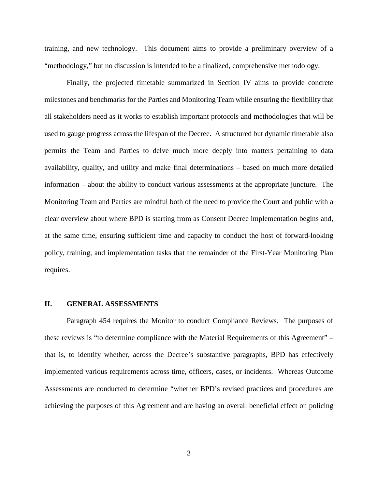training, and new technology. This document aims to provide a preliminary overview of a "methodology," but no discussion is intended to be a finalized, comprehensive methodology.

Finally, the projected timetable summarized in Section IV aims to provide concrete milestones and benchmarks for the Parties and Monitoring Team while ensuring the flexibility that all stakeholders need as it works to establish important protocols and methodologies that will be used to gauge progress across the lifespan of the Decree. A structured but dynamic timetable also permits the Team and Parties to delve much more deeply into matters pertaining to data availability, quality, and utility and make final determinations – based on much more detailed information – about the ability to conduct various assessments at the appropriate juncture. The Monitoring Team and Parties are mindful both of the need to provide the Court and public with a clear overview about where BPD is starting from as Consent Decree implementation begins and, at the same time, ensuring sufficient time and capacity to conduct the host of forward-looking policy, training, and implementation tasks that the remainder of the First-Year Monitoring Plan requires.

## **II. GENERAL ASSESSMENTS**

Paragraph 454 requires the Monitor to conduct Compliance Reviews. The purposes of these reviews is "to determine compliance with the Material Requirements of this Agreement" – that is, to identify whether, across the Decree's substantive paragraphs, BPD has effectively implemented various requirements across time, officers, cases, or incidents. Whereas Outcome Assessments are conducted to determine "whether BPD's revised practices and procedures are achieving the purposes of this Agreement and are having an overall beneficial effect on policing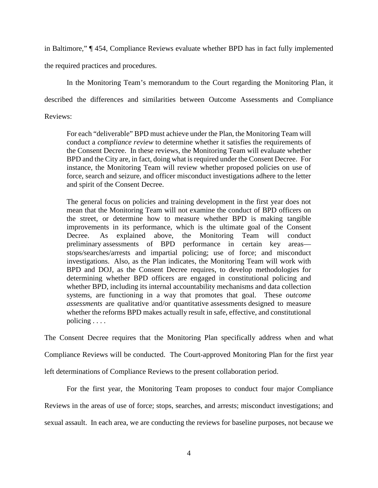in Baltimore," ¶ 454, Compliance Reviews evaluate whether BPD has in fact fully implemented

the required practices and procedures.

In the Monitoring Team's memorandum to the Court regarding the Monitoring Plan, it

described the differences and similarities between Outcome Assessments and Compliance

Reviews:

For each "deliverable" BPD must achieve under the Plan, the Monitoring Team will conduct a *compliance review* to determine whether it satisfies the requirements of the Consent Decree. In these reviews, the Monitoring Team will evaluate whether BPD and the City are, in fact, doing what is required under the Consent Decree. For instance, the Monitoring Team will review whether proposed policies on use of force, search and seizure, and officer misconduct investigations adhere to the letter and spirit of the Consent Decree.

The general focus on policies and training development in the first year does not mean that the Monitoring Team will not examine the conduct of BPD officers on the street, or determine how to measure whether BPD is making tangible improvements in its performance, which is the ultimate goal of the Consent Decree. As explained above, the Monitoring Team will conduct preliminary assessments of BPD performance in certain key areas stops/searches/arrests and impartial policing; use of force; and misconduct investigations. Also, as the Plan indicates, the Monitoring Team will work with BPD and DOJ, as the Consent Decree requires, to develop methodologies for determining whether BPD officers are engaged in constitutional policing and whether BPD, including its internal accountability mechanisms and data collection systems, are functioning in a way that promotes that goal. These *outcome assessments* are qualitative and/or quantitative assessments designed to measure whether the reforms BPD makes actually result in safe, effective, and constitutional policing . . . .

The Consent Decree requires that the Monitoring Plan specifically address when and what Compliance Reviews will be conducted. The Court-approved Monitoring Plan for the first year left determinations of Compliance Reviews to the present collaboration period.

For the first year, the Monitoring Team proposes to conduct four major Compliance Reviews in the areas of use of force; stops, searches, and arrests; misconduct investigations; and sexual assault. In each area, we are conducting the reviews for baseline purposes, not because we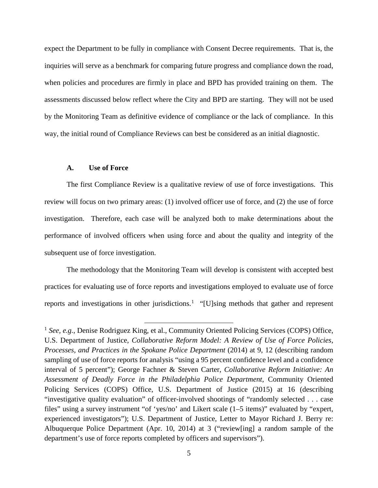expect the Department to be fully in compliance with Consent Decree requirements. That is, the inquiries will serve as a benchmark for comparing future progress and compliance down the road, when policies and procedures are firmly in place and BPD has provided training on them. The assessments discussed below reflect where the City and BPD are starting. They will not be used by the Monitoring Team as definitive evidence of compliance or the lack of compliance. In this way, the initial round of Compliance Reviews can best be considered as an initial diagnostic.

## **A. Use of Force**

The first Compliance Review is a qualitative review of use of force investigations. This review will focus on two primary areas: (1) involved officer use of force, and (2) the use of force investigation. Therefore, each case will be analyzed both to make determinations about the performance of involved officers when using force and about the quality and integrity of the subsequent use of force investigation.

The methodology that the Monitoring Team will develop is consistent with accepted best practices for evaluating use of force reports and investigations employed to evaluate use of force reports and investigations in other jurisdictions.<sup>[1](#page-4-0)</sup> "[U]sing methods that gather and represent

 $\overline{\phantom{a}}$ 

<span id="page-4-0"></span><sup>&</sup>lt;sup>1</sup> See, e.g., Denise Rodriguez King, et al., Community Oriented Policing Services (COPS) Office, U.S. Department of Justice, *Collaborative Reform Model: A Review of Use of Force Policies, Processes, and Practices in the Spokane Police Department* (2014) at 9, 12 (describing random sampling of use of force reports for analysis "using a 95 percent confidence level and a confidence interval of 5 percent"); George Fachner & Steven Carter, *Collaborative Reform Initiative: An Assessment of Deadly Force in the Philadelphia Police Department*, Community Oriented Policing Services (COPS) Office, U.S. Department of Justice (2015) at 16 (describing "investigative quality evaluation" of officer-involved shootings of "randomly selected . . . case files" using a survey instrument "of 'yes/no' and Likert scale (1–5 items)" evaluated by "expert, experienced investigators"); U.S. Department of Justice, Letter to Mayor Richard J. Berry re: Albuquerque Police Department (Apr. 10, 2014) at 3 ("review[ing] a random sample of the department's use of force reports completed by officers and supervisors").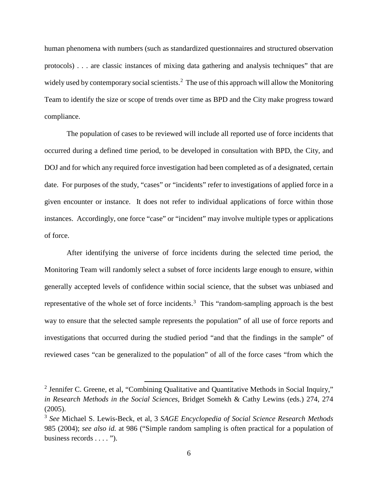human phenomena with numbers (such as standardized questionnaires and structured observation protocols) . . . are classic instances of mixing data gathering and analysis techniques" that are widely used by contemporary social scientists.<sup>[2](#page-5-0)</sup> The use of this approach will allow the Monitoring Team to identify the size or scope of trends over time as BPD and the City make progress toward compliance.

The population of cases to be reviewed will include all reported use of force incidents that occurred during a defined time period, to be developed in consultation with BPD, the City, and DOJ and for which any required force investigation had been completed as of a designated, certain date. For purposes of the study, "cases" or "incidents" refer to investigations of applied force in a given encounter or instance. It does not refer to individual applications of force within those instances. Accordingly, one force "case" or "incident" may involve multiple types or applications of force.

After identifying the universe of force incidents during the selected time period, the Monitoring Team will randomly select a subset of force incidents large enough to ensure, within generally accepted levels of confidence within social science, that the subset was unbiased and representative of the whole set of force incidents.<sup>[3](#page-5-1)</sup> This "random-sampling approach is the best way to ensure that the selected sample represents the population" of all use of force reports and investigations that occurred during the studied period "and that the findings in the sample" of reviewed cases "can be generalized to the population" of all of the force cases "from which the

l

<span id="page-5-0"></span><sup>&</sup>lt;sup>2</sup> Jennifer C. Greene, et al, "Combining Qualitative and Quantitative Methods in Social Inquiry," *in Research Methods in the Social Sciences*, Bridget Somekh & Cathy Lewins (eds.) 274, 274 (2005).

<span id="page-5-1"></span><sup>3</sup> *See* Michael S. Lewis-Beck, et al, 3 *SAGE Encyclopedia of Social Science Research Methods* 985 (2004); *see also id.* at 986 ("Simple random sampling is often practical for a population of business records . . . . ").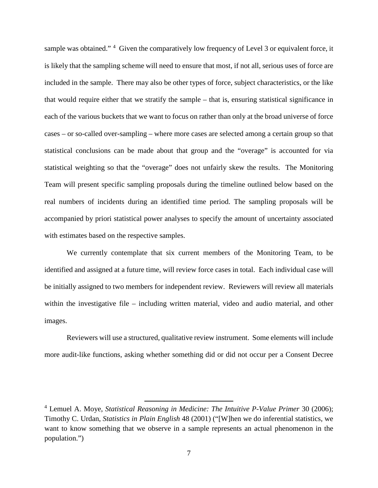sample was obtained."<sup>[4](#page-6-0)</sup> Given the comparatively low frequency of Level 3 or equivalent force, it is likely that the sampling scheme will need to ensure that most, if not all, serious uses of force are included in the sample. There may also be other types of force, subject characteristics, or the like that would require either that we stratify the sample – that is, ensuring statistical significance in each of the various buckets that we want to focus on rather than only at the broad universe of force cases – or so-called over-sampling – where more cases are selected among a certain group so that statistical conclusions can be made about that group and the "overage" is accounted for via statistical weighting so that the "overage" does not unfairly skew the results. The Monitoring Team will present specific sampling proposals during the timeline outlined below based on the real numbers of incidents during an identified time period. The sampling proposals will be accompanied by priori statistical power analyses to specify the amount of uncertainty associated with estimates based on the respective samples.

We currently contemplate that six current members of the Monitoring Team, to be identified and assigned at a future time, will review force cases in total. Each individual case will be initially assigned to two members for independent review. Reviewers will review all materials within the investigative file – including written material, video and audio material, and other images.

Reviewers will use a structured, qualitative review instrument. Some elements will include more audit-like functions, asking whether something did or did not occur per a Consent Decree

 $\overline{\phantom{a}}$ 

<span id="page-6-0"></span><sup>4</sup> Lemuel A. Moye, *Statistical Reasoning in Medicine: The Intuitive P-Value Primer* 30 (2006); Timothy C. Urdan, *Statistics in Plain English* 48 (2001) ("[W]hen we do inferential statistics, we want to know something that we observe in a sample represents an actual phenomenon in the population.")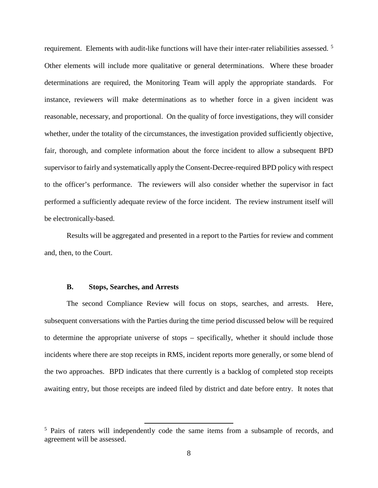requirement. Elements with audit-like functions will have their inter-rater reliabilities assessed. [5](#page-7-0) Other elements will include more qualitative or general determinations. Where these broader determinations are required, the Monitoring Team will apply the appropriate standards. For instance, reviewers will make determinations as to whether force in a given incident was reasonable, necessary, and proportional. On the quality of force investigations, they will consider whether, under the totality of the circumstances, the investigation provided sufficiently objective, fair, thorough, and complete information about the force incident to allow a subsequent BPD supervisor to fairly and systematically apply the Consent-Decree-required BPD policy with respect to the officer's performance. The reviewers will also consider whether the supervisor in fact performed a sufficiently adequate review of the force incident. The review instrument itself will be electronically-based.

Results will be aggregated and presented in a report to the Parties for review and comment and, then, to the Court.

### **B. Stops, Searches, and Arrests**

The second Compliance Review will focus on stops, searches, and arrests. Here, subsequent conversations with the Parties during the time period discussed below will be required to determine the appropriate universe of stops – specifically, whether it should include those incidents where there are stop receipts in RMS, incident reports more generally, or some blend of the two approaches. BPD indicates that there currently is a backlog of completed stop receipts awaiting entry, but those receipts are indeed filed by district and date before entry. It notes that

l

<span id="page-7-0"></span><sup>&</sup>lt;sup>5</sup> Pairs of raters will independently code the same items from a subsample of records, and agreement will be assessed.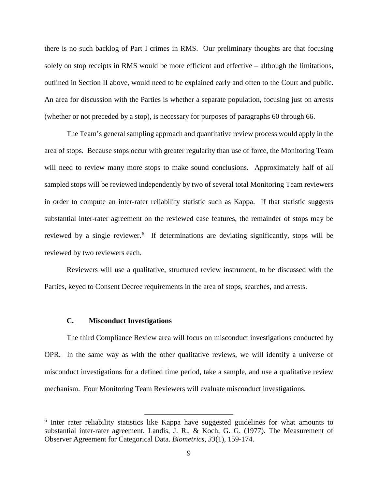there is no such backlog of Part I crimes in RMS. Our preliminary thoughts are that focusing solely on stop receipts in RMS would be more efficient and effective – although the limitations, outlined in Section II above, would need to be explained early and often to the Court and public. An area for discussion with the Parties is whether a separate population, focusing just on arrests (whether or not preceded by a stop), is necessary for purposes of paragraphs 60 through 66.

The Team's general sampling approach and quantitative review process would apply in the area of stops. Because stops occur with greater regularity than use of force, the Monitoring Team will need to review many more stops to make sound conclusions. Approximately half of all sampled stops will be reviewed independently by two of several total Monitoring Team reviewers in order to compute an inter-rater reliability statistic such as Kappa. If that statistic suggests substantial inter-rater agreement on the reviewed case features, the remainder of stops may be reviewed by a single reviewer.<sup>[6](#page-8-0)</sup> If determinations are deviating significantly, stops will be reviewed by two reviewers each.

Reviewers will use a qualitative, structured review instrument, to be discussed with the Parties, keyed to Consent Decree requirements in the area of stops, searches, and arrests.

## **C. Misconduct Investigations**

l

The third Compliance Review area will focus on misconduct investigations conducted by OPR. In the same way as with the other qualitative reviews, we will identify a universe of misconduct investigations for a defined time period, take a sample, and use a qualitative review mechanism. Four Monitoring Team Reviewers will evaluate misconduct investigations.

<span id="page-8-0"></span><sup>&</sup>lt;sup>6</sup> Inter rater reliability statistics like Kappa have suggested guidelines for what amounts to substantial inter-rater agreement. Landis, J. R., & Koch, G. G. (1977). The Measurement of Observer Agreement for Categorical Data. *Biometrics, 33*(1), 159-174.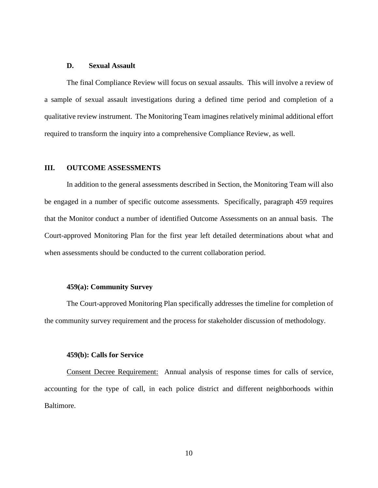## **D. Sexual Assault**

The final Compliance Review will focus on sexual assaults. This will involve a review of a sample of sexual assault investigations during a defined time period and completion of a qualitative review instrument. The Monitoring Team imagines relatively minimal additional effort required to transform the inquiry into a comprehensive Compliance Review, as well.

## **III. OUTCOME ASSESSMENTS**

In addition to the general assessments described in Section, the Monitoring Team will also be engaged in a number of specific outcome assessments. Specifically, paragraph 459 requires that the Monitor conduct a number of identified Outcome Assessments on an annual basis. The Court-approved Monitoring Plan for the first year left detailed determinations about what and when assessments should be conducted to the current collaboration period.

### **459(a): Community Survey**

The Court-approved Monitoring Plan specifically addresses the timeline for completion of the community survey requirement and the process for stakeholder discussion of methodology.

## **459(b): Calls for Service**

Consent Decree Requirement: Annual analysis of response times for calls of service, accounting for the type of call, in each police district and different neighborhoods within Baltimore.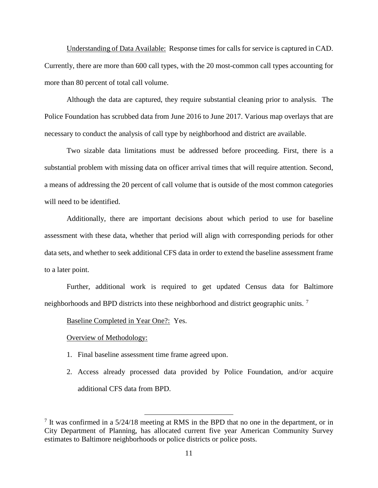Understanding of Data Available: Response times for calls for service is captured in CAD. Currently, there are more than 600 call types, with the 20 most-common call types accounting for more than 80 percent of total call volume.

Although the data are captured, they require substantial cleaning prior to analysis. The Police Foundation has scrubbed data from June 2016 to June 2017. Various map overlays that are necessary to conduct the analysis of call type by neighborhood and district are available.

Two sizable data limitations must be addressed before proceeding. First, there is a substantial problem with missing data on officer arrival times that will require attention. Second, a means of addressing the 20 percent of call volume that is outside of the most common categories will need to be identified.

Additionally, there are important decisions about which period to use for baseline assessment with these data, whether that period will align with corresponding periods for other data sets, and whether to seek additional CFS data in order to extend the baseline assessment frame to a later point.

Further, additional work is required to get updated Census data for Baltimore neighborhoods and BPD districts into these neighborhood and district geographic units. [7](#page-10-0)

### Baseline Completed in Year One?: Yes.

## Overview of Methodology:

1. Final baseline assessment time frame agreed upon.

l

2. Access already processed data provided by Police Foundation, and/or acquire additional CFS data from BPD.

<span id="page-10-0"></span> $<sup>7</sup>$  It was confirmed in a 5/24/18 meeting at RMS in the BPD that no one in the department, or in</sup> City Department of Planning, has allocated current five year American Community Survey estimates to Baltimore neighborhoods or police districts or police posts.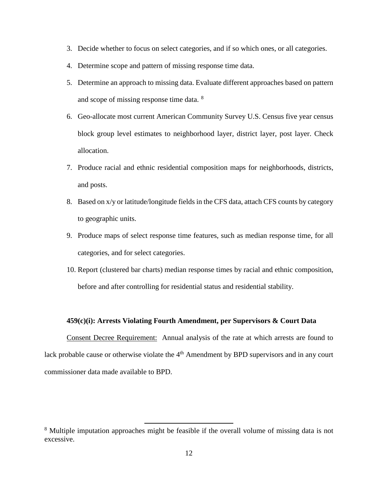- 3. Decide whether to focus on select categories, and if so which ones, or all categories.
- 4. Determine scope and pattern of missing response time data.
- 5. Determine an approach to missing data. Evaluate different approaches based on pattern and scope of missing response time data. [8](#page-11-0)
- 6. Geo-allocate most current American Community Survey U.S. Census five year census block group level estimates to neighborhood layer, district layer, post layer. Check allocation.
- 7. Produce racial and ethnic residential composition maps for neighborhoods, districts, and posts.
- 8. Based on x/y or latitude/longitude fields in the CFS data, attach CFS counts by category to geographic units.
- 9. Produce maps of select response time features, such as median response time, for all categories, and for select categories.
- 10. Report (clustered bar charts) median response times by racial and ethnic composition, before and after controlling for residential status and residential stability.

## **459(c)(i): Arrests Violating Fourth Amendment, per Supervisors & Court Data**

Consent Decree Requirement: Annual analysis of the rate at which arrests are found to lack probable cause or otherwise violate the  $4<sup>th</sup>$  Amendment by BPD supervisors and in any court commissioner data made available to BPD.

l

<span id="page-11-0"></span><sup>&</sup>lt;sup>8</sup> Multiple imputation approaches might be feasible if the overall volume of missing data is not excessive.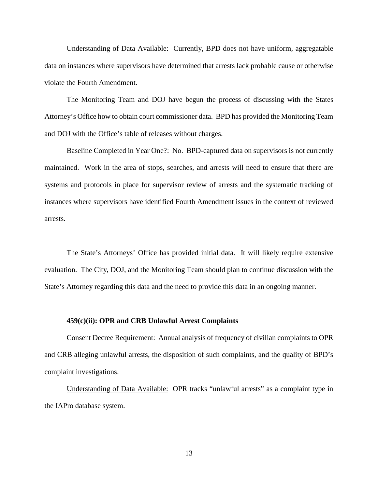Understanding of Data Available: Currently, BPD does not have uniform, aggregatable data on instances where supervisors have determined that arrests lack probable cause or otherwise violate the Fourth Amendment.

The Monitoring Team and DOJ have begun the process of discussing with the States Attorney's Office how to obtain court commissioner data. BPD has provided the Monitoring Team and DOJ with the Office's table of releases without charges.

Baseline Completed in Year One?: No. BPD-captured data on supervisors is not currently maintained. Work in the area of stops, searches, and arrests will need to ensure that there are systems and protocols in place for supervisor review of arrests and the systematic tracking of instances where supervisors have identified Fourth Amendment issues in the context of reviewed arrests.

The State's Attorneys' Office has provided initial data. It will likely require extensive evaluation. The City, DOJ, and the Monitoring Team should plan to continue discussion with the State's Attorney regarding this data and the need to provide this data in an ongoing manner.

## **459(c)(ii): OPR and CRB Unlawful Arrest Complaints**

Consent Decree Requirement: Annual analysis of frequency of civilian complaints to OPR and CRB alleging unlawful arrests, the disposition of such complaints, and the quality of BPD's complaint investigations.

Understanding of Data Available: OPR tracks "unlawful arrests" as a complaint type in the IAPro database system.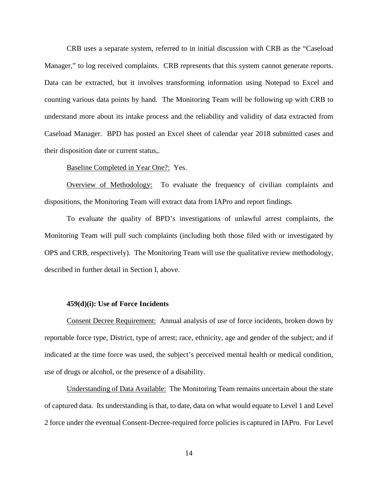CRB uses a separate system, referred to in initial discussion with CRB as the "Caseload Manager," to log received complaints. CRB represents that this system cannot generate reports. Data can be extracted, but it involves transforming information using Notepad to Excel and counting various data points by hand. The Monitoring Team will be following up with CRB to understand more about its intake process and the reliability and validity of data extracted from Caseload Manager. BPD has posted an Excel sheet of calendar year 2018 submitted cases and their disposition date or current status,.

Baseline Completed in Year One?: Yes.

Overview of Methodology: To evaluate the frequency of civilian complaints and dispositions, the Monitoring Team will extract data from IAPro and report findings.

To evaluate the quality of BPD's investigations of unlawful arrest complaints, the Monitoring Team will pull such complaints (including both those filed with or investigated by OPS and CRB, respectively). The Monitoring Team will use the qualitative review methodology, described in further detail in Section I, above.

## **459(d)(i): Use of Force Incidents**

Consent Decree Requirement: Annual analysis of use of force incidents, broken down by reportable force type, District, type of arrest; race, ethnicity, age and gender of the subject; and if indicated at the time force was used, the subject's perceived mental health or medical condition, use of drugs or alcohol, or the presence of a disability.

Understanding of Data Available: The Monitoring Team remains uncertain about the state of captured data. Its understanding is that, to date, data on what would equate to Level 1 and Level 2 force under the eventual Consent-Decree-required force policies is captured in IAPro. For Level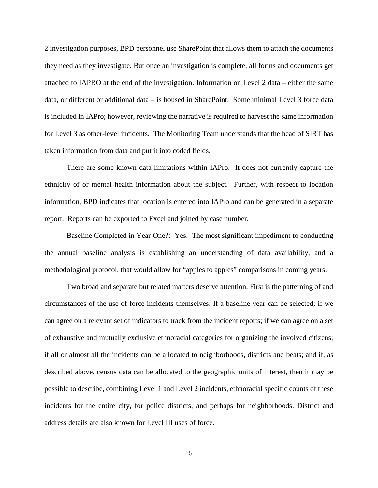2 investigation purposes, BPD personnel use SharePoint that allows them to attach the documents they need as they investigate. But once an investigation is complete, all forms and documents get attached to IAPRO at the end of the investigation. Information on Level 2 data – either the same data, or different or additional data – is housed in SharePoint. Some minimal Level 3 force data is included in IAPro; however, reviewing the narrative is required to harvest the same information for Level 3 as other-level incidents. The Monitoring Team understands that the head of SIRT has taken information from data and put it into coded fields.

There are some known data limitations within IAPro. It does not currently capture the ethnicity of or mental health information about the subject. Further, with respect to location information, BPD indicates that location is entered into IAPro and can be generated in a separate report. Reports can be exported to Excel and joined by case number.

Baseline Completed in Year One?: Yes. The most significant impediment to conducting the annual baseline analysis is establishing an understanding of data availability, and a methodological protocol, that would allow for "apples to apples" comparisons in coming years.

Two broad and separate but related matters deserve attention. First is the patterning of and circumstances of the use of force incidents themselves. If a baseline year can be selected; if we can agree on a relevant set of indicators to track from the incident reports; if we can agree on a set of exhaustive and mutually exclusive ethnoracial categories for organizing the involved citizens; if all or almost all the incidents can be allocated to neighborhoods, districts and beats; and if, as described above, census data can be allocated to the geographic units of interest, then it may be possible to describe, combining Level 1 and Level 2 incidents, ethnoracial specific counts of these incidents for the entire city, for police districts, and perhaps for neighborhoods. District and address details are also known for Level III uses of force.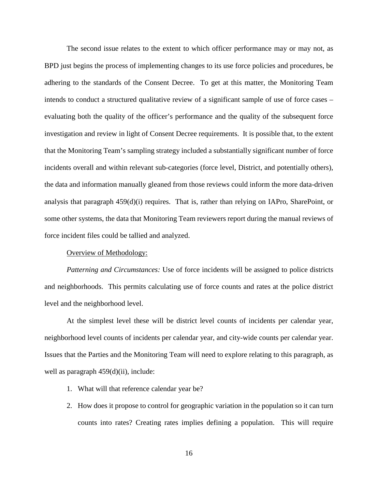The second issue relates to the extent to which officer performance may or may not, as BPD just begins the process of implementing changes to its use force policies and procedures, be adhering to the standards of the Consent Decree. To get at this matter, the Monitoring Team intends to conduct a structured qualitative review of a significant sample of use of force cases – evaluating both the quality of the officer's performance and the quality of the subsequent force investigation and review in light of Consent Decree requirements. It is possible that, to the extent that the Monitoring Team's sampling strategy included a substantially significant number of force incidents overall and within relevant sub-categories (force level, District, and potentially others), the data and information manually gleaned from those reviews could inform the more data-driven analysis that paragraph 459(d)(i) requires. That is, rather than relying on IAPro, SharePoint, or some other systems, the data that Monitoring Team reviewers report during the manual reviews of force incident files could be tallied and analyzed.

## Overview of Methodology:

*Patterning and Circumstances:* Use of force incidents will be assigned to police districts and neighborhoods. This permits calculating use of force counts and rates at the police district level and the neighborhood level.

At the simplest level these will be district level counts of incidents per calendar year, neighborhood level counts of incidents per calendar year, and city-wide counts per calendar year. Issues that the Parties and the Monitoring Team will need to explore relating to this paragraph, as well as paragraph  $459(d)(ii)$ , include:

- 1. What will that reference calendar year be?
- 2. How does it propose to control for geographic variation in the population so it can turn counts into rates? Creating rates implies defining a population. This will require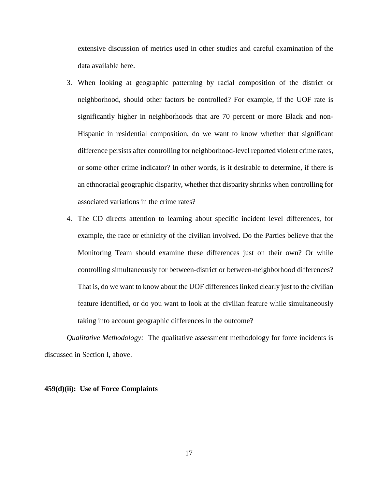extensive discussion of metrics used in other studies and careful examination of the data available here.

- 3. When looking at geographic patterning by racial composition of the district or neighborhood, should other factors be controlled? For example, if the UOF rate is significantly higher in neighborhoods that are 70 percent or more Black and non-Hispanic in residential composition, do we want to know whether that significant difference persists after controlling for neighborhood-level reported violent crime rates, or some other crime indicator? In other words, is it desirable to determine, if there is an ethnoracial geographic disparity, whether that disparity shrinks when controlling for associated variations in the crime rates?
- 4. The CD directs attention to learning about specific incident level differences, for example, the race or ethnicity of the civilian involved. Do the Parties believe that the Monitoring Team should examine these differences just on their own? Or while controlling simultaneously for between-district or between-neighborhood differences? That is, do we want to know about the UOF differences linked clearly just to the civilian feature identified, or do you want to look at the civilian feature while simultaneously taking into account geographic differences in the outcome?

*Qualitative Methodology:* The qualitative assessment methodology for force incidents is discussed in Section I, above.

#### **459(d)(ii): Use of Force Complaints**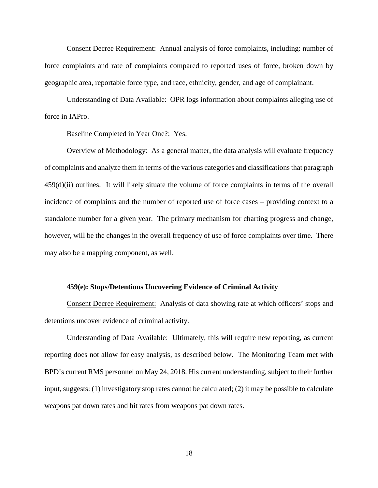Consent Decree Requirement: Annual analysis of force complaints, including: number of force complaints and rate of complaints compared to reported uses of force, broken down by geographic area, reportable force type, and race, ethnicity, gender, and age of complainant.

Understanding of Data Available: OPR logs information about complaints alleging use of force in IAPro.

Baseline Completed in Year One?: Yes.

Overview of Methodology: As a general matter, the data analysis will evaluate frequency of complaints and analyze them in terms of the various categories and classifications that paragraph 459(d)(ii) outlines. It will likely situate the volume of force complaints in terms of the overall incidence of complaints and the number of reported use of force cases – providing context to a standalone number for a given year. The primary mechanism for charting progress and change, however, will be the changes in the overall frequency of use of force complaints over time. There may also be a mapping component, as well.

## **459(e): Stops/Detentions Uncovering Evidence of Criminal Activity**

Consent Decree Requirement: Analysis of data showing rate at which officers' stops and detentions uncover evidence of criminal activity.

Understanding of Data Available: Ultimately, this will require new reporting, as current reporting does not allow for easy analysis, as described below. The Monitoring Team met with BPD's current RMS personnel on May 24, 2018. His current understanding, subject to their further input, suggests: (1) investigatory stop rates cannot be calculated; (2) it may be possible to calculate weapons pat down rates and hit rates from weapons pat down rates.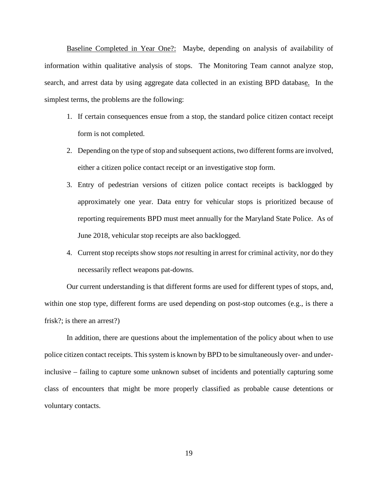Baseline Completed in Year One?: Maybe, depending on analysis of availability of information within qualitative analysis of stops. The Monitoring Team cannot analyze stop, search, and arrest data by using aggregate data collected in an existing BPD database. In the simplest terms, the problems are the following:

- 1. If certain consequences ensue from a stop, the standard police citizen contact receipt form is not completed.
- 2. Depending on the type of stop and subsequent actions, two different forms are involved, either a citizen police contact receipt or an investigative stop form.
- 3. Entry of pedestrian versions of citizen police contact receipts is backlogged by approximately one year. Data entry for vehicular stops is prioritized because of reporting requirements BPD must meet annually for the Maryland State Police. As of June 2018, vehicular stop receipts are also backlogged.
- 4. Current stop receipts show stops *not* resulting in arrest for criminal activity, nor do they necessarily reflect weapons pat-downs.

Our current understanding is that different forms are used for different types of stops, and, within one stop type, different forms are used depending on post-stop outcomes (e.g., is there a frisk?; is there an arrest?)

In addition, there are questions about the implementation of the policy about when to use police citizen contact receipts. This system is known by BPD to be simultaneously over- and underinclusive – failing to capture some unknown subset of incidents and potentially capturing some class of encounters that might be more properly classified as probable cause detentions or voluntary contacts.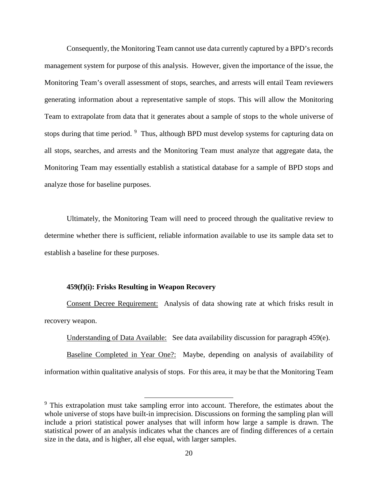Consequently, the Monitoring Team cannot use data currently captured by a BPD's records management system for purpose of this analysis. However, given the importance of the issue, the Monitoring Team's overall assessment of stops, searches, and arrests will entail Team reviewers generating information about a representative sample of stops. This will allow the Monitoring Team to extrapolate from data that it generates about a sample of stops to the whole universe of stops during that time period. <sup>[9](#page-19-0)</sup> Thus, although BPD must develop systems for capturing data on all stops, searches, and arrests and the Monitoring Team must analyze that aggregate data, the Monitoring Team may essentially establish a statistical database for a sample of BPD stops and analyze those for baseline purposes.

Ultimately, the Monitoring Team will need to proceed through the qualitative review to determine whether there is sufficient, reliable information available to use its sample data set to establish a baseline for these purposes.

## **459(f)(i): Frisks Resulting in Weapon Recovery**

 $\overline{\phantom{a}}$ 

Consent Decree Requirement: Analysis of data showing rate at which frisks result in recovery weapon.

Understanding of Data Available: See data availability discussion for paragraph 459(e).

Baseline Completed in Year One?: Maybe, depending on analysis of availability of information within qualitative analysis of stops. For this area, it may be that the Monitoring Team

<span id="page-19-0"></span> $9$  This extrapolation must take sampling error into account. Therefore, the estimates about the whole universe of stops have built-in imprecision. Discussions on forming the sampling plan will include a priori statistical power analyses that will inform how large a sample is drawn. The statistical power of an analysis indicates what the chances are of finding differences of a certain size in the data, and is higher, all else equal, with larger samples.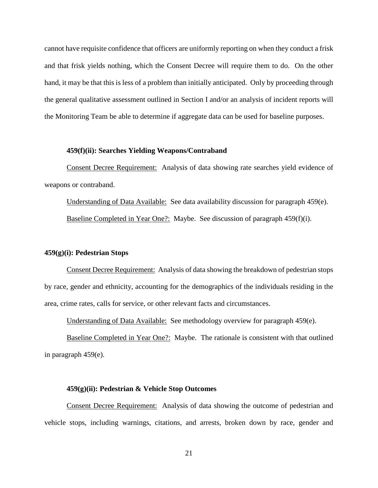cannot have requisite confidence that officers are uniformly reporting on when they conduct a frisk and that frisk yields nothing, which the Consent Decree will require them to do. On the other hand, it may be that this is less of a problem than initially anticipated. Only by proceeding through the general qualitative assessment outlined in Section I and/or an analysis of incident reports will the Monitoring Team be able to determine if aggregate data can be used for baseline purposes.

## **459(f)(ii): Searches Yielding Weapons/Contraband**

Consent Decree Requirement: Analysis of data showing rate searches yield evidence of weapons or contraband.

Understanding of Data Available: See data availability discussion for paragraph 459(e). Baseline Completed in Year One?: Maybe. See discussion of paragraph 459(f)(i).

## **459(g)(i): Pedestrian Stops**

Consent Decree Requirement: Analysis of data showing the breakdown of pedestrian stops by race, gender and ethnicity, accounting for the demographics of the individuals residing in the area, crime rates, calls for service, or other relevant facts and circumstances.

Understanding of Data Available: See methodology overview for paragraph 459(e).

Baseline Completed in Year One?: Maybe. The rationale is consistent with that outlined in paragraph 459(e).

## **459(g)(ii): Pedestrian & Vehicle Stop Outcomes**

Consent Decree Requirement: Analysis of data showing the outcome of pedestrian and vehicle stops, including warnings, citations, and arrests, broken down by race, gender and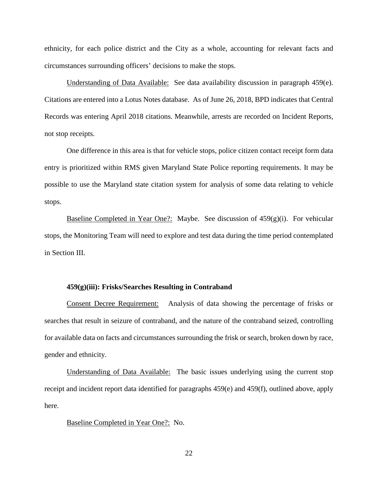ethnicity, for each police district and the City as a whole, accounting for relevant facts and circumstances surrounding officers' decisions to make the stops.

Understanding of Data Available: See data availability discussion in paragraph 459(e). Citations are entered into a Lotus Notes database. As of June 26, 2018, BPD indicates that Central Records was entering April 2018 citations. Meanwhile, arrests are recorded on Incident Reports, not stop receipts.

One difference in this area is that for vehicle stops, police citizen contact receipt form data entry is prioritized within RMS given Maryland State Police reporting requirements. It may be possible to use the Maryland state citation system for analysis of some data relating to vehicle stops.

Baseline Completed in Year One?: Maybe. See discussion of 459(g)(i). For vehicular stops, the Monitoring Team will need to explore and test data during the time period contemplated in Section III.

## **459(g)(iii): Frisks/Searches Resulting in Contraband**

Consent Decree Requirement: Analysis of data showing the percentage of frisks or searches that result in seizure of contraband, and the nature of the contraband seized, controlling for available data on facts and circumstances surrounding the frisk or search, broken down by race, gender and ethnicity.

Understanding of Data Available: The basic issues underlying using the current stop receipt and incident report data identified for paragraphs 459(e) and 459(f), outlined above, apply here.

#### Baseline Completed in Year One?: No.

22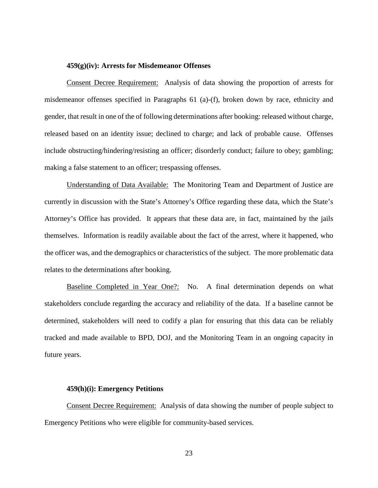### **459(g)(iv): Arrests for Misdemeanor Offenses**

Consent Decree Requirement: Analysis of data showing the proportion of arrests for misdemeanor offenses specified in Paragraphs 61 (a)-(f), broken down by race, ethnicity and gender, that result in one of the of following determinations after booking: released without charge, released based on an identity issue; declined to charge; and lack of probable cause. Offenses include obstructing/hindering/resisting an officer; disorderly conduct; failure to obey; gambling; making a false statement to an officer; trespassing offenses.

Understanding of Data Available: The Monitoring Team and Department of Justice are currently in discussion with the State's Attorney's Office regarding these data, which the State's Attorney's Office has provided. It appears that these data are, in fact, maintained by the jails themselves. Information is readily available about the fact of the arrest, where it happened, who the officer was, and the demographics or characteristics of the subject. The more problematic data relates to the determinations after booking.

Baseline Completed in Year One?: No. A final determination depends on what stakeholders conclude regarding the accuracy and reliability of the data. If a baseline cannot be determined, stakeholders will need to codify a plan for ensuring that this data can be reliably tracked and made available to BPD, DOJ, and the Monitoring Team in an ongoing capacity in future years.

#### **459(h)(i): Emergency Petitions**

Consent Decree Requirement: Analysis of data showing the number of people subject to Emergency Petitions who were eligible for community-based services.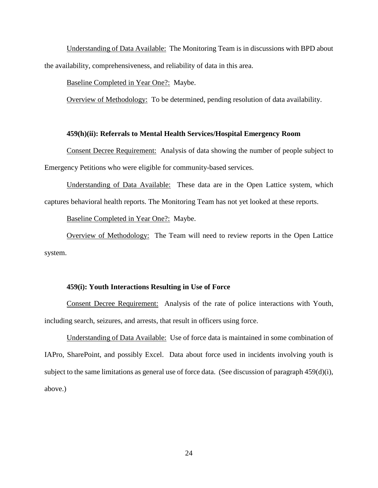Understanding of Data Available: The Monitoring Team is in discussions with BPD about the availability, comprehensiveness, and reliability of data in this area.

Baseline Completed in Year One?: Maybe.

Overview of Methodology: To be determined, pending resolution of data availability.

## **459(h)(ii): Referrals to Mental Health Services/Hospital Emergency Room**

Consent Decree Requirement: Analysis of data showing the number of people subject to Emergency Petitions who were eligible for community-based services.

Understanding of Data Available: These data are in the Open Lattice system, which captures behavioral health reports. The Monitoring Team has not yet looked at these reports.

Baseline Completed in Year One?: Maybe.

Overview of Methodology: The Team will need to review reports in the Open Lattice system.

## **459(i): Youth Interactions Resulting in Use of Force**

Consent Decree Requirement: Analysis of the rate of police interactions with Youth, including search, seizures, and arrests, that result in officers using force.

Understanding of Data Available: Use of force data is maintained in some combination of IAPro, SharePoint, and possibly Excel. Data about force used in incidents involving youth is subject to the same limitations as general use of force data. (See discussion of paragraph 459(d)(i), above.)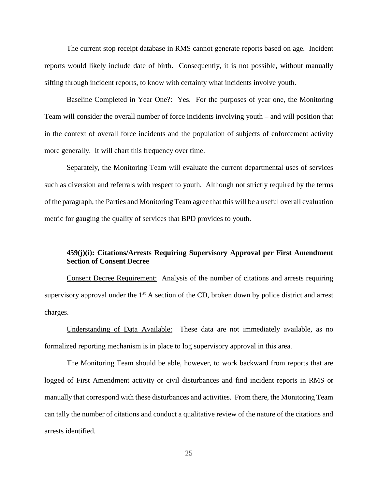The current stop receipt database in RMS cannot generate reports based on age. Incident reports would likely include date of birth. Consequently, it is not possible, without manually sifting through incident reports, to know with certainty what incidents involve youth.

Baseline Completed in Year One?: Yes. For the purposes of year one, the Monitoring Team will consider the overall number of force incidents involving youth – and will position that in the context of overall force incidents and the population of subjects of enforcement activity more generally. It will chart this frequency over time.

Separately, the Monitoring Team will evaluate the current departmental uses of services such as diversion and referrals with respect to youth. Although not strictly required by the terms of the paragraph, the Parties and Monitoring Team agree that this will be a useful overall evaluation metric for gauging the quality of services that BPD provides to youth.

# **459(j)(i): Citations/Arrests Requiring Supervisory Approval per First Amendment Section of Consent Decree**

Consent Decree Requirement: Analysis of the number of citations and arrests requiring supervisory approval under the  $1<sup>st</sup>$  A section of the CD, broken down by police district and arrest charges.

Understanding of Data Available: These data are not immediately available, as no formalized reporting mechanism is in place to log supervisory approval in this area.

The Monitoring Team should be able, however, to work backward from reports that are logged of First Amendment activity or civil disturbances and find incident reports in RMS or manually that correspond with these disturbances and activities. From there, the Monitoring Team can tally the number of citations and conduct a qualitative review of the nature of the citations and arrests identified.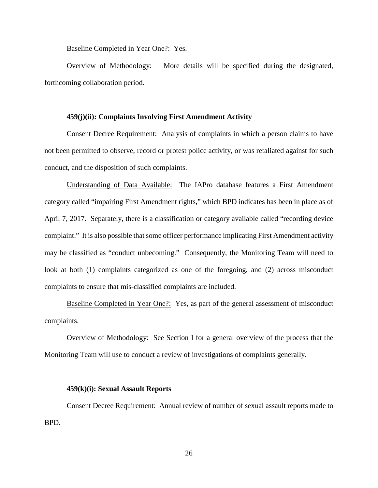Baseline Completed in Year One?: Yes.

Overview of Methodology: More details will be specified during the designated, forthcoming collaboration period.

## **459(j)(ii): Complaints Involving First Amendment Activity**

Consent Decree Requirement: Analysis of complaints in which a person claims to have not been permitted to observe, record or protest police activity, or was retaliated against for such conduct, and the disposition of such complaints.

Understanding of Data Available: The IAPro database features a First Amendment category called "impairing First Amendment rights," which BPD indicates has been in place as of April 7, 2017. Separately, there is a classification or category available called "recording device complaint." It is also possible that some officer performance implicating First Amendment activity may be classified as "conduct unbecoming." Consequently, the Monitoring Team will need to look at both (1) complaints categorized as one of the foregoing, and (2) across misconduct complaints to ensure that mis-classified complaints are included.

Baseline Completed in Year One?: Yes, as part of the general assessment of misconduct complaints.

Overview of Methodology: See Section I for a general overview of the process that the Monitoring Team will use to conduct a review of investigations of complaints generally.

#### **459(k)(i): Sexual Assault Reports**

Consent Decree Requirement: Annual review of number of sexual assault reports made to BPD.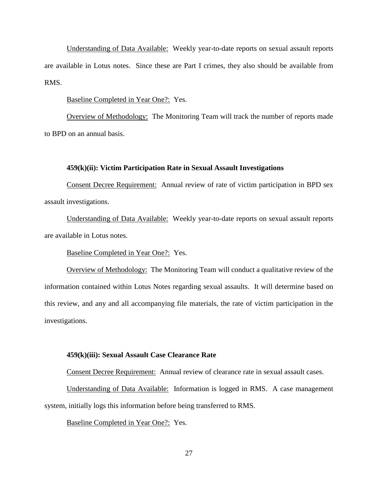Understanding of Data Available: Weekly year-to-date reports on sexual assault reports are available in Lotus notes. Since these are Part I crimes, they also should be available from RMS.

Baseline Completed in Year One?: Yes.

Overview of Methodology: The Monitoring Team will track the number of reports made to BPD on an annual basis.

## **459(k)(ii): Victim Participation Rate in Sexual Assault Investigations**

Consent Decree Requirement: Annual review of rate of victim participation in BPD sex assault investigations.

Understanding of Data Available: Weekly year-to-date reports on sexual assault reports are available in Lotus notes.

Baseline Completed in Year One?: Yes.

Overview of Methodology: The Monitoring Team will conduct a qualitative review of the information contained within Lotus Notes regarding sexual assaults. It will determine based on this review, and any and all accompanying file materials, the rate of victim participation in the investigations.

## **459(k)(iii): Sexual Assault Case Clearance Rate**

Consent Decree Requirement: Annual review of clearance rate in sexual assault cases.

Understanding of Data Available: Information is logged in RMS. A case management system, initially logs this information before being transferred to RMS.

Baseline Completed in Year One?: Yes.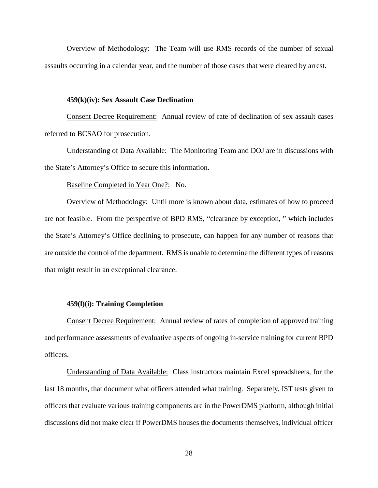Overview of Methodology: The Team will use RMS records of the number of sexual assaults occurring in a calendar year, and the number of those cases that were cleared by arrest.

## **459(k)(iv): Sex Assault Case Declination**

Consent Decree Requirement: Annual review of rate of declination of sex assault cases referred to BCSAO for prosecution.

Understanding of Data Available: The Monitoring Team and DOJ are in discussions with the State's Attorney's Office to secure this information.

## Baseline Completed in Year One?: No.

Overview of Methodology: Until more is known about data, estimates of how to proceed are not feasible. From the perspective of BPD RMS, "clearance by exception, " which includes the State's Attorney's Office declining to prosecute, can happen for any number of reasons that are outside the control of the department. RMS is unable to determine the different types of reasons that might result in an exceptional clearance.

## **459(l)(i): Training Completion**

Consent Decree Requirement: Annual review of rates of completion of approved training and performance assessments of evaluative aspects of ongoing in-service training for current BPD officers.

Understanding of Data Available: Class instructors maintain Excel spreadsheets, for the last 18 months, that document what officers attended what training. Separately, IST tests given to officers that evaluate various training components are in the PowerDMS platform, although initial discussions did not make clear if PowerDMS houses the documents themselves, individual officer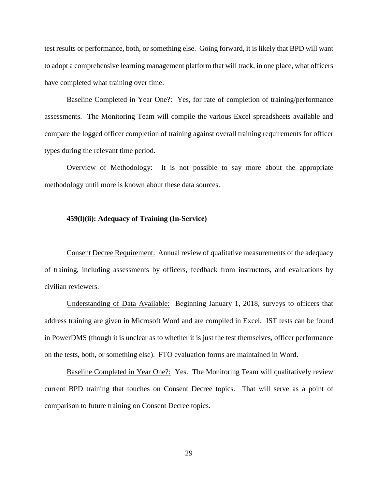test results or performance, both, or something else. Going forward, it is likely that BPD will want to adopt a comprehensive learning management platform that will track, in one place, what officers have completed what training over time.

Baseline Completed in Year One?: Yes, for rate of completion of training/performance assessments. The Monitoring Team will compile the various Excel spreadsheets available and compare the logged officer completion of training against overall training requirements for officer types during the relevant time period.

Overview of Methodology: It is not possible to say more about the appropriate methodology until more is known about these data sources.

## **459(l)(ii): Adequacy of Training (In-Service)**

Consent Decree Requirement: Annual review of qualitative measurements of the adequacy of training, including assessments by officers, feedback from instructors, and evaluations by civilian reviewers.

Understanding of Data Available: Beginning January 1, 2018, surveys to officers that address training are given in Microsoft Word and are compiled in Excel. IST tests can be found in PowerDMS (though it is unclear as to whether it is just the test themselves, officer performance on the tests, both, or something else). FTO evaluation forms are maintained in Word.

Baseline Completed in Year One?: Yes. The Monitoring Team will qualitatively review current BPD training that touches on Consent Decree topics. That will serve as a point of comparison to future training on Consent Decree topics.

29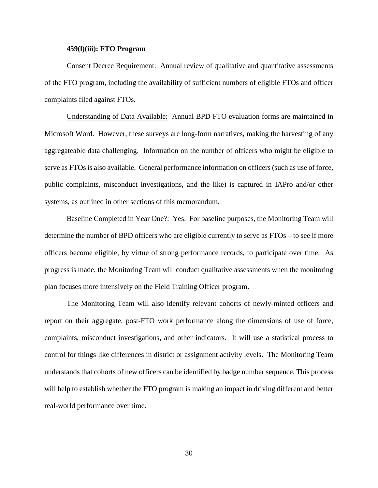## **459(l)(iii): FTO Program**

Consent Decree Requirement: Annual review of qualitative and quantitative assessments of the FTO program, including the availability of sufficient numbers of eligible FTOs and officer complaints filed against FTOs.

Understanding of Data Available: Annual BPD FTO evaluation forms are maintained in Microsoft Word. However, these surveys are long-form narratives, making the harvesting of any aggregateable data challenging. Information on the number of officers who might be eligible to serve as FTOs is also available. General performance information on officers (such as use of force, public complaints, misconduct investigations, and the like) is captured in IAPro and/or other systems, as outlined in other sections of this memorandum.

Baseline Completed in Year One?: Yes. For baseline purposes, the Monitoring Team will determine the number of BPD officers who are eligible currently to serve as FTOs – to see if more officers become eligible, by virtue of strong performance records, to participate over time. As progress is made, the Monitoring Team will conduct qualitative assessments when the monitoring plan focuses more intensively on the Field Training Officer program.

The Monitoring Team will also identify relevant cohorts of newly-minted officers and report on their aggregate, post-FTO work performance along the dimensions of use of force, complaints, misconduct investigations, and other indicators. It will use a statistical process to control for things like differences in district or assignment activity levels. The Monitoring Team understands that cohorts of new officers can be identified by badge number sequence. This process will help to establish whether the FTO program is making an impact in driving different and better real-world performance over time.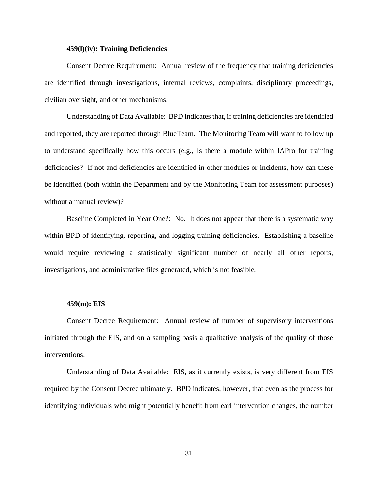## **459(l)(iv): Training Deficiencies**

Consent Decree Requirement: Annual review of the frequency that training deficiencies are identified through investigations, internal reviews, complaints, disciplinary proceedings, civilian oversight, and other mechanisms.

Understanding of Data Available: BPD indicates that, if training deficiencies are identified and reported, they are reported through BlueTeam. The Monitoring Team will want to follow up to understand specifically how this occurs (e.g., Is there a module within IAPro for training deficiencies? If not and deficiencies are identified in other modules or incidents, how can these be identified (both within the Department and by the Monitoring Team for assessment purposes) without a manual review)?

Baseline Completed in Year One?: No. It does not appear that there is a systematic way within BPD of identifying, reporting, and logging training deficiencies. Establishing a baseline would require reviewing a statistically significant number of nearly all other reports, investigations, and administrative files generated, which is not feasible.

### **459(m): EIS**

Consent Decree Requirement: Annual review of number of supervisory interventions initiated through the EIS, and on a sampling basis a qualitative analysis of the quality of those interventions.

Understanding of Data Available: EIS, as it currently exists, is very different from EIS required by the Consent Decree ultimately. BPD indicates, however, that even as the process for identifying individuals who might potentially benefit from earl intervention changes, the number

31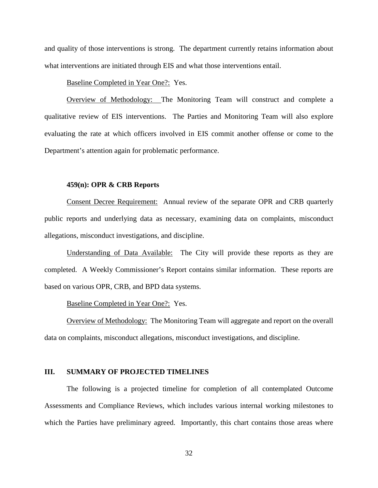and quality of those interventions is strong. The department currently retains information about what interventions are initiated through EIS and what those interventions entail.

Baseline Completed in Year One?: Yes.

Overview of Methodology: The Monitoring Team will construct and complete a qualitative review of EIS interventions. The Parties and Monitoring Team will also explore evaluating the rate at which officers involved in EIS commit another offense or come to the Department's attention again for problematic performance.

## **459(n): OPR & CRB Reports**

Consent Decree Requirement: Annual review of the separate OPR and CRB quarterly public reports and underlying data as necessary, examining data on complaints, misconduct allegations, misconduct investigations, and discipline.

Understanding of Data Available: The City will provide these reports as they are completed. A Weekly Commissioner's Report contains similar information. These reports are based on various OPR, CRB, and BPD data systems.

Baseline Completed in Year One?: Yes.

Overview of Methodology: The Monitoring Team will aggregate and report on the overall data on complaints, misconduct allegations, misconduct investigations, and discipline.

## **III. SUMMARY OF PROJECTED TIMELINES**

The following is a projected timeline for completion of all contemplated Outcome Assessments and Compliance Reviews, which includes various internal working milestones to which the Parties have preliminary agreed. Importantly, this chart contains those areas where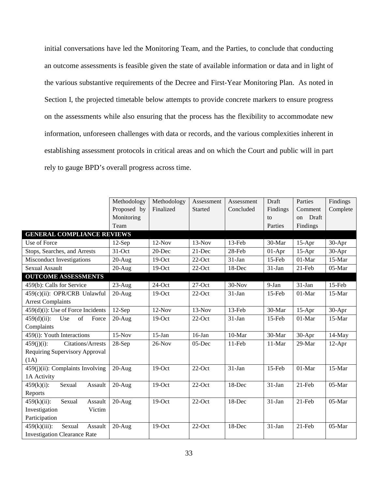initial conversations have led the Monitoring Team, and the Parties, to conclude that conducting an outcome assessments is feasible given the state of available information or data and in light of the various substantive requirements of the Decree and First-Year Monitoring Plan. As noted in Section I, the projected timetable below attempts to provide concrete markers to ensure progress on the assessments while also ensuring that the process has the flexibility to accommodate new information, unforeseen challenges with data or records, and the various complexities inherent in establishing assessment protocols in critical areas and on which the Court and public will in part rely to gauge BPD's overall progress across time.

|                                           | Methodology | Methodology | Assessment | Assessment | Draft     | Parties  | Findings  |
|-------------------------------------------|-------------|-------------|------------|------------|-----------|----------|-----------|
|                                           | Proposed by | Finalized   | Started    | Concluded  | Findings  | Comment  | Complete  |
|                                           | Monitoring  |             |            |            | to        | on Draft |           |
|                                           | Team        |             |            |            | Parties   | Findings |           |
| <b>GENERAL COMPLIANCE REVIEWS</b>         |             |             |            |            |           |          |           |
| Use of Force                              | $12-Sep$    | $12-Nov$    | $13-Nov$   | $13$ -Feb  | 30-Mar    | $15-Apr$ | 30-Apr    |
| Stops, Searches, and Arrests              | 31-Oct      | 20-Dec      | 21-Dec     | 28-Feb     | $01-Apr$  | $15-Apr$ | 30-Apr    |
| Misconduct Investigations                 | $20-Aug$    | $19-Oct$    | $22$ -Oct  | $31-Jan$   | $15$ -Feb | $01-Mar$ | 15-Mar    |
| <b>Sexual Assault</b>                     | $20-Aug$    | 19-Oct      | $22$ -Oct  | 18-Dec     | $31-Ian$  | 21-Feb   | 05-Mar    |
| <b>OUTCOME ASSESSMENTS</b>                |             |             |            |            |           |          |           |
| 459(b): Calls for Service                 | $23$ -Aug   | $24$ -Oct   | $27-Oct$   | $30-Nov$   | $9-Ian$   | 31-Jan   | $15$ -Feb |
| 459(c)(ii): OPR/CRB Unlawful              | $20-Aug$    | $19-Oct$    | $22$ -Oct  | $31-Jan$   | 15-Feb    | $01-Mar$ | 15-Mar    |
| <b>Arrest Complaints</b>                  |             |             |            |            |           |          |           |
| 459(d)(i): Use of Force Incidents         | $12-Sep$    | $12-Nov$    | $13-Nov$   | 13-Feb     | 30-Mar    | $15-Apr$ | 30-Apr    |
| Use<br>of<br>$459(d)(ii)$ :<br>Force      | $20-Aug$    | $19-Oct$    | $22$ -Oct  | $31-Jan$   | $15$ -Feb | 01-Mar   | 15-Mar    |
| Complaints                                |             |             |            |            |           |          |           |
| 459(i): Youth Interactions                | $15-Nov$    | $15-Ian$    | $16$ -Jan  | 10-Mar     | 30-Mar    | 30-Apr   | $14$ -May |
| $459(i)(i)$ :<br><b>Citations/Arrests</b> | $28-Sep$    | $26$ -Nov   | 05-Dec     | 11-Feb     | 11-Mar    | 29-Mar   | $12-Apr$  |
| Requiring Supervisory Approval            |             |             |            |            |           |          |           |
| (1A)                                      |             |             |            |            |           |          |           |
| 459(j)(ii): Complaints Involving          | $20-Aug$    | $19-Oct$    | $22$ -Oct  | $31-Jan$   | $15$ -Feb | $01-Mar$ | 15-Mar    |
| 1A Activity                               |             |             |            |            |           |          |           |
| Sexual<br>$459(k)(i)$ :<br>Assault        | $20-Aug$    | $19-Oct$    | $22$ -Oct  | 18-Dec     | $31-Ian$  | 21-Feb   | 05-Mar    |
| Reports                                   |             |             |            |            |           |          |           |
| Sexual<br>$459(k)(ii)$ :<br>Assault       | $20-Aug$    | $19-Oct$    | $22$ -Oct  | 18-Dec     | $31-Ian$  | 21-Feb   | 05-Mar    |
| Investigation<br>Victim                   |             |             |            |            |           |          |           |
| Participation                             |             |             |            |            |           |          |           |
| Sexual<br>Assault<br>$459(k)(iii)$ :      | $20-Aug$    | $19-Oct$    | 22-Oct     | 18-Dec     | 31-Jan    | 21-Feb   | 05-Mar    |
| <b>Investigation Clearance Rate</b>       |             |             |            |            |           |          |           |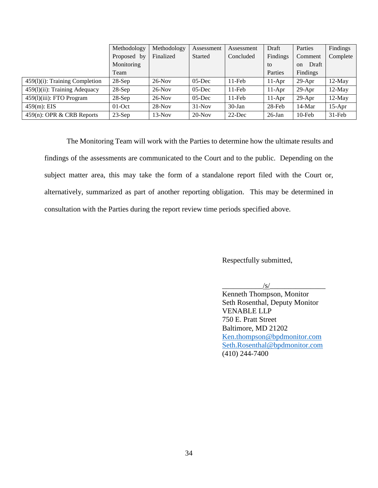|                                   | Methodology | Methodology | Assessment | Assessment | Draft     | Parties           | Findings  |
|-----------------------------------|-------------|-------------|------------|------------|-----------|-------------------|-----------|
|                                   | Proposed by | Finalized   | Started    | Concluded  | Findings  | Comment           | Complete  |
|                                   | Monitoring  |             |            |            | to        | Draft<br>$\alpha$ |           |
|                                   | Team        |             |            |            | Parties   | Findings          |           |
| $459(1)(i)$ : Training Completion | $28-Sep$    | $26-Nov$    | $05$ -Dec  | $11$ -Feb  | $11-Apr$  | $29-Apr$          | $12$ -May |
| 459(1)(ii): Training Adequacy     | $28-Sep$    | $26-Nov$    | $05$ -Dec  | $11$ -Feb  | $11-Apr$  | $29-Apr$          | $12$ -May |
| 459(1)(iii): FTO Program          | $28-Sep$    | $26-Nov$    | $05$ -Dec  | $11$ -Feb  | $11-Apr$  | $29-Apr$          | $12$ -May |
| $459(m)$ : EIS                    | $01$ -Oct   | $28-Nov$    | $31-Nov$   | $30$ -Jan  | $28$ -Feb | $14-Mar$          | $15-Apr$  |
| 459(n): OPR $&$ CRB Reports       | $23-Sep$    | $13-Nov$    | $20$ -Nov  | $22$ -Dec  | $26$ -Jan | $10$ -Feb         | $31$ -Feb |

The Monitoring Team will work with the Parties to determine how the ultimate results and findings of the assessments are communicated to the Court and to the public. Depending on the subject matter area, this may take the form of a standalone report filed with the Court or, alternatively, summarized as part of another reporting obligation. This may be determined in consultation with the Parties during the report review time periods specified above.

Respectfully submitted,

 $\angle$ s/

Kenneth Thompson, Monitor Seth Rosenthal, Deputy Monitor VENABLE LLP 750 E. Pratt Street Baltimore, MD 21202 [Ken.thompson@bpdmonitor.com](mailto:Ken.thompson@bpdmonitor.com) [Seth.Rosenthal@bpdmonitor.com](mailto:Seth.Rosenthal@bpdmonitor.com) (410) 244-7400